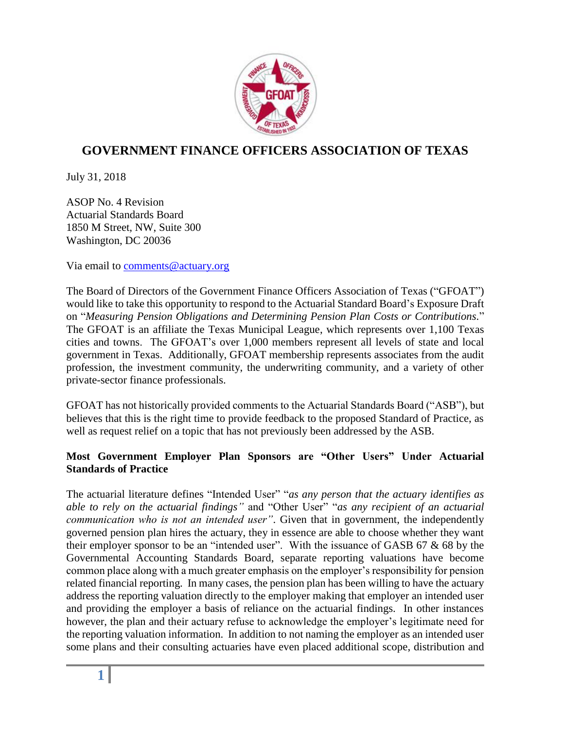

## **GOVERNMENT FINANCE OFFICERS ASSOCIATION OF TEXAS**

July 31, 2018

ASOP No. 4 Revision Actuarial Standards Board 1850 M Street, NW, Suite 300 Washington, DC 20036

Via email to [comments@actuary.org](mailto:comments@actuary.org)

The Board of Directors of the Government Finance Officers Association of Texas ("GFOAT") would like to take this opportunity to respond to the Actuarial Standard Board's Exposure Draft on "*Measuring Pension Obligations and Determining Pension Plan Costs or Contributions.*" The GFOAT is an affiliate the Texas Municipal League, which represents over 1,100 Texas cities and towns. The GFOAT's over 1,000 members represent all levels of state and local government in Texas. Additionally, GFOAT membership represents associates from the audit profession, the investment community, the underwriting community, and a variety of other private-sector finance professionals.

GFOAT has not historically provided comments to the Actuarial Standards Board ("ASB"), but believes that this is the right time to provide feedback to the proposed Standard of Practice, as well as request relief on a topic that has not previously been addressed by the ASB.

## **Most Government Employer Plan Sponsors are "Other Users" Under Actuarial Standards of Practice**

The actuarial literature defines "Intended User" "*as any person that the actuary identifies as able to rely on the actuarial findings"* and "Other User" "*as any recipient of an actuarial communication who is not an intended user"*. Given that in government, the independently governed pension plan hires the actuary, they in essence are able to choose whether they want their employer sponsor to be an "intended user". With the issuance of GASB 67 & 68 by the Governmental Accounting Standards Board, separate reporting valuations have become common place along with a much greater emphasis on the employer's responsibility for pension related financial reporting. In many cases, the pension plan has been willing to have the actuary address the reporting valuation directly to the employer making that employer an intended user and providing the employer a basis of reliance on the actuarial findings. In other instances however, the plan and their actuary refuse to acknowledge the employer's legitimate need for the reporting valuation information. In addition to not naming the employer as an intended user some plans and their consulting actuaries have even placed additional scope, distribution and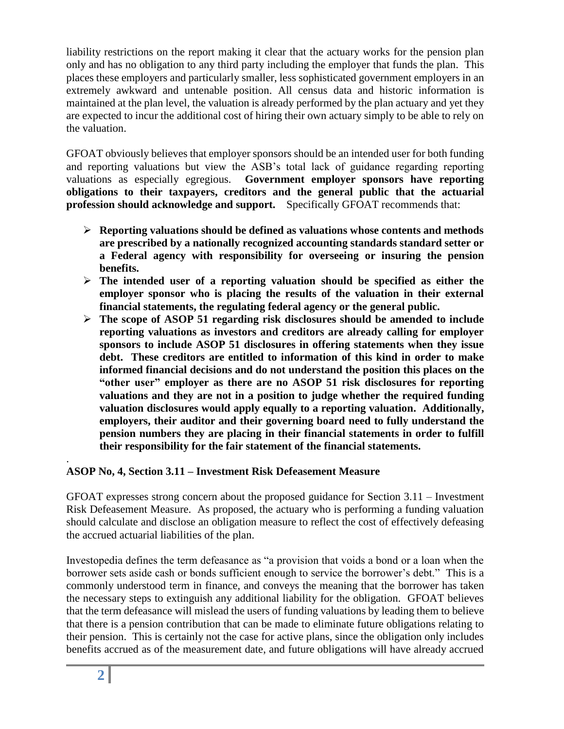liability restrictions on the report making it clear that the actuary works for the pension plan only and has no obligation to any third party including the employer that funds the plan. This places these employers and particularly smaller, less sophisticated government employers in an extremely awkward and untenable position. All census data and historic information is maintained at the plan level, the valuation is already performed by the plan actuary and yet they are expected to incur the additional cost of hiring their own actuary simply to be able to rely on the valuation.

GFOAT obviously believes that employer sponsors should be an intended user for both funding and reporting valuations but view the ASB's total lack of guidance regarding reporting valuations as especially egregious. **Government employer sponsors have reporting obligations to their taxpayers, creditors and the general public that the actuarial profession should acknowledge and support.** Specifically GFOAT recommends that:

- **Reporting valuations should be defined as valuations whose contents and methods are prescribed by a nationally recognized accounting standards standard setter or a Federal agency with responsibility for overseeing or insuring the pension benefits.**
- **The intended user of a reporting valuation should be specified as either the employer sponsor who is placing the results of the valuation in their external financial statements, the regulating federal agency or the general public.**
- **The scope of ASOP 51 regarding risk disclosures should be amended to include reporting valuations as investors and creditors are already calling for employer sponsors to include ASOP 51 disclosures in offering statements when they issue debt. These creditors are entitled to information of this kind in order to make informed financial decisions and do not understand the position this places on the "other user" employer as there are no ASOP 51 risk disclosures for reporting valuations and they are not in a position to judge whether the required funding valuation disclosures would apply equally to a reporting valuation. Additionally, employers, their auditor and their governing board need to fully understand the pension numbers they are placing in their financial statements in order to fulfill their responsibility for the fair statement of the financial statements.**

## . **ASOP No, 4, Section 3.11 – Investment Risk Defeasement Measure**

GFOAT expresses strong concern about the proposed guidance for Section 3.11 – Investment Risk Defeasement Measure. As proposed, the actuary who is performing a funding valuation should calculate and disclose an obligation measure to reflect the cost of effectively defeasing the accrued actuarial liabilities of the plan.

Investopedia defines the term defeasance as "a provision that voids a bond or a loan when the borrower sets aside cash or bonds sufficient enough to service the borrower's debt." This is a commonly understood term in finance, and conveys the meaning that the borrower has taken the necessary steps to extinguish any additional liability for the obligation. GFOAT believes that the term defeasance will mislead the users of funding valuations by leading them to believe that there is a pension contribution that can be made to eliminate future obligations relating to their pension. This is certainly not the case for active plans, since the obligation only includes benefits accrued as of the measurement date, and future obligations will have already accrued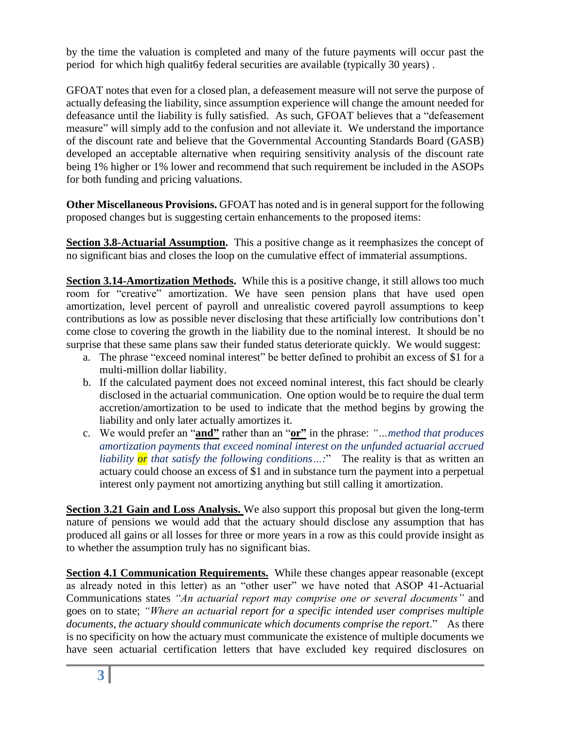by the time the valuation is completed and many of the future payments will occur past the period for which high qualit6y federal securities are available (typically 30 years) .

GFOAT notes that even for a closed plan, a defeasement measure will not serve the purpose of actually defeasing the liability, since assumption experience will change the amount needed for defeasance until the liability is fully satisfied. As such, GFOAT believes that a "defeasement measure" will simply add to the confusion and not alleviate it. We understand the importance of the discount rate and believe that the Governmental Accounting Standards Board (GASB) developed an acceptable alternative when requiring sensitivity analysis of the discount rate being 1% higher or 1% lower and recommend that such requirement be included in the ASOPs for both funding and pricing valuations.

**Other Miscellaneous Provisions.** GFOAT has noted and is in general support for the following proposed changes but is suggesting certain enhancements to the proposed items:

**Section 3.8-Actuarial Assumption.** This a positive change as it reemphasizes the concept of no significant bias and closes the loop on the cumulative effect of immaterial assumptions.

**Section 3.14-Amortization Methods.** While this is a positive change, it still allows too much room for "creative" amortization. We have seen pension plans that have used open amortization, level percent of payroll and unrealistic covered payroll assumptions to keep contributions as low as possible never disclosing that these artificially low contributions don't come close to covering the growth in the liability due to the nominal interest. It should be no surprise that these same plans saw their funded status deteriorate quickly. We would suggest:

- a. The phrase "exceed nominal interest" be better defined to prohibit an excess of \$1 for a multi-million dollar liability.
- b. If the calculated payment does not exceed nominal interest, this fact should be clearly disclosed in the actuarial communication. One option would be to require the dual term accretion/amortization to be used to indicate that the method begins by growing the liability and only later actually amortizes it.
- c. We would prefer an "**and"** rather than an "**or"** in the phrase: *"…method that produces amortization payments that exceed nominal interest on the unfunded actuarial accrued liability or that satisfy the following conditions…:*" The reality is that as written an actuary could choose an excess of \$1 and in substance turn the payment into a perpetual interest only payment not amortizing anything but still calling it amortization.

**Section 3.21 Gain and Loss Analysis.** We also support this proposal but given the long-term nature of pensions we would add that the actuary should disclose any assumption that has produced all gains or all losses for three or more years in a row as this could provide insight as to whether the assumption truly has no significant bias.

**Section 4.1 Communication Requirements.** While these changes appear reasonable (except as already noted in this letter) as an "other user" we have noted that ASOP 41-Actuarial Communications states *"An actuarial report may comprise one or several documents"* and goes on to state; *"Where an actuarial report for a specific intended user comprises multiple documents, the actuary should communicate which documents comprise the report*." As there is no specificity on how the actuary must communicate the existence of multiple documents we have seen actuarial certification letters that have excluded key required disclosures on